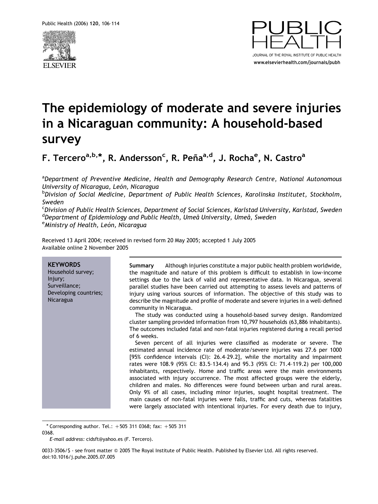



# The epidemiology of moderate and severe injuries in a Nicaraguan community: A household-based survey

F. Tercero<sup>a,b,</sup>\*, R. Andersson<sup>c</sup>, R. Peña<sup>a,d</sup>, J. Rocha<sup>e</sup>, N. Castro<sup>a</sup>

<sup>a</sup>Department of Preventive Medicine, Health and Demography Research Centre, National Autonomous University of Nicaragua, León, Nicaragua

b Division of Social Medicine, Department of Public Health Sciences, Karolinska Institutet, Stockholm, Sweden

<sup>c</sup>Division of Public Health Sciences, Department of Social Sciences, Karlstad University, Karlstad, Sweden <sup>d</sup>Department of Epidemiology and Public Health, Umeå University, Umeå, Sweden<br><sup>e</sup>Ministry of Health, León, Nicargaug  $e^{\theta}$ Ministry of Health, León, Nicaragua

Received 13 April 2004; received in revised form 20 May 2005; accepted 1 July 2005 Available online 2 November 2005

#### **KEYWORDS** Household survey; Injury; Surveillance; Developing countries; Nicaragua Summary Although injuries constitute a major public health problem worldwide, the magnitude and nature of this problem is difficult to establish in low-income settings due to the lack of valid and representative data. In Nicaragua, several parallel studies have been carried out attempting to assess levels and patterns of injury using various sources of information. The objective of this study was to describe the magnitude and profile of moderate and severe injuries in a well-defined community in Nicaragua. The study was conducted using a household-based survey design. Randomized cluster sampling provided information from 10,797 households (63,886 inhabitants). The outcomes included fatal and non-fatal injuries registered during a recall period of 6 weeks. Seven percent of all injuries were classified as moderate or severe. The estimated annual incidence rate of moderate/severe injuries was 27.6 per 1000 [95% confidence intervals (CI): 26.4–29.2], while the mortality and impairment rates were 108.9 (95% CI: 83.5–134.4) and 95.3 (95% CI: 71.4–119.2) per 100,000 inhabitants, respectively. Home and traffic areas were the main environments associated with injury occurrence. The most affected groups were the elderly, children and males. No differences were found between urban and rural areas. Only 9% of all cases, including minor injuries, sought hospital treatment. The main causes of non-fatal injuries were falls, traffic and cuts, whereas fatalities were largely associated with intentional injuries. For every death due to injury,

 $*$  Corresponding author. Tel.:  $+505$  311 0368; fax:  $+505$  311 0368.

E-mail address: cidsft@yahoo.es (F. Tercero).

0033-3506/\$ - see front matter © 2005 The Royal Institute of Public Health. Published by Elsevier Ltd. All rights reserved. doi:10.1016/j.puhe.2005.07.005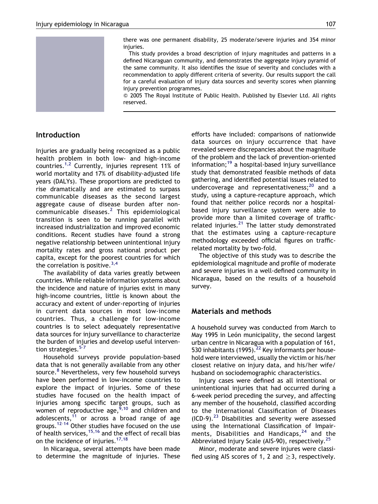

there was one permanent disability, 25 moderate/severe injuries and 354 minor injuries.

This study provides a broad description of injury magnitudes and patterns in a defined Nicaraguan community, and demonstrates the aggregate injury pyramid of the same community. It also identifies the issue of severity and concludes with a recommendation to apply different criteria of severity. Our results support the call for a careful evaluation of injury data sources and severity scores when planning injury prevention programmes.

Q 2005 The Royal Institute of Public Health. Published by Elsevier Ltd. All rights reserved.

# Introduction

Injuries are gradually being recognized as a public health problem in both low- and high-income countries.<sup>[1,2](#page-7-0)</sup> Currently, injuries represent 11% of world mortality and 17% of disability-adjusted life years (DALYs). These proportions are predicted to rise dramatically and are estimated to surpass communicable diseases as the second largest aggregate cause of disease burden after noncommunicable diseases.[2](#page-7-0) This epidemiological transition is seen to be running parallel with increased industrialization and improved economic conditions. Recent studies have found a strong negative relationship between unintentional injury mortality rates and gross national product per capita, except for the poorest countries for which the correlation is positive.  $3,4$ 

The availability of data varies greatly between countries. While reliable information systems about the incidence and nature of injuries exist in many high-income countries, little is known about the accuracy and extent of under-reporting of injuries in current data sources in most low-income countries. Thus, a challenge for low-income countries is to select adequately representative data sources for injury surveillance to characterize the burden of injuries and develop useful intervention strategies.<sup>5-7</sup>

Household surveys provide population-based data that is not generally available from any other source.<sup>[8](#page-7-0)</sup> Nevertheless, very few household surveys have been performed in low-income countries to explore the impact of injuries. Some of these studies have focused on the health impact of injuries among specific target groups, such as women of reproductive age,  $\frac{5}{10}$  and children and adolescents, $11$  or across a broad range of age groups.[12–14](#page-7-0) Other studies have focused on the use of health services,  $15,16$  and the effect of recall bias on the incidence of injuries.<sup>[17,18](#page-7-0)</sup>

In Nicaragua, several attempts have been made to determine the magnitude of injuries. These efforts have included: comparisons of nationwide data sources on injury occurrence that have revealed severe discrepancies about the magnitude of the problem and the lack of prevention-oriented information;[19](#page-7-0) a hospital-based injury surveillance study that demonstrated feasible methods of data gathering, and identified potential issues related to undercoverage and representativeness; $^{20}$  $^{20}$  $^{20}$  and a study, using a capture-recapture approach, which found that neither police records nor a hospitalbased injury surveillance system were able to provide more than a limited coverage of trafficrelated injuries. $^{21}$  $^{21}$  $^{21}$  The latter study demonstrated that the estimates using a capture-recapture methodology exceeded official figures on trafficrelated mortality by two-fold.

The objective of this study was to describe the epidemiological magnitude and profile of moderate and severe injuries in a well-defined community in Nicaragua, based on the results of a household survey.

# Materials and methods

A household survey was conducted from March to May 1995 in León municipality, the second largest urban centre in Nicaragua with a population of 161, 530 inhabitants (1995). $^{22}$  $^{22}$  $^{22}$  Key informants per household were interviewed, usually the victim or his/her closest relative on injury data, and his/her wife/ husband on sociodemographic characteristics.

Injury cases were defined as all intentional or unintentional injuries that had occurred during a 6-week period preceding the survey, and affecting any member of the household, classified according to the International Classification of Diseases  $(ICD-9).^{23}$  $(ICD-9).^{23}$  $(ICD-9).^{23}$  Disabilities and severity were assessed using the International Classification of Impairments, Disabilities and Handicaps,  $24$  and the Abbreviated Injury Scale (AIS-90), respectively.<sup>[25](#page-8-0)</sup>

Minor, moderate and severe injures were classified using AIS scores of 1, 2 and  $\geq$ 3, respectively.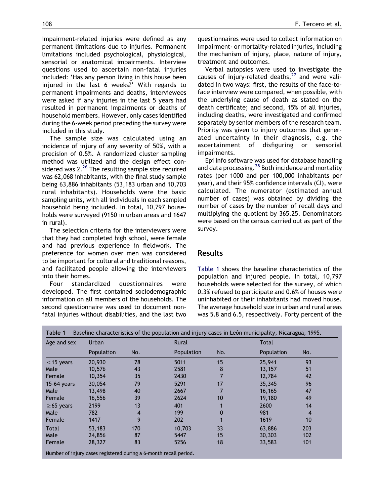Impairment-related injuries were defined as any permanent limitations due to injuries. Permanent limitations included psychological, physiological, sensorial or anatomical impairments. Interview questions used to ascertain non-fatal injuries included: 'Has any person living in this house been injured in the last 6 weeks?' With regards to permanent impairments and deaths, interviewees were asked if any injuries in the last 5 years had resulted in permanent impairments or deaths of household members. However, only cases identified during the 6-week period preceding the survey were included in this study.

The sample size was calculated using an incidence of injury of any severity of 50%, with a precision of 0.5%. A randomized cluster sampling method was utilized and the design effect considered was  $2.^{26}$  $2.^{26}$  $2.^{26}$  The resulting sample size required was 62,068 inhabitants, with the final study sample being 63,886 inhabitants (53,183 urban and 10,703 rural inhabitants). Households were the basic sampling units, with all individuals in each sampled household being included. In total, 10,797 households were surveyed (9150 in urban areas and 1647 in rural).

The selection criteria for the interviewers were that they had completed high school, were female and had previous experience in fieldwork. The preference for women over men was considered to be important for cultural and traditional reasons, and facilitated people allowing the interviewers into their homes.

Four standardized questionnaires were developed. The first contained sociodemographic information on all members of the households. The second questionnaire was used to document nonfatal injuries without disabilities, and the last two questionnaires were used to collect information on impairment- or mortality-related injuries, including the mechanism of injury, place, nature of injury, treatment and outcomes.

Verbal autopsies were used to investigate the causes of injury-related deaths,  $27$  and were validated in two ways: first, the results of the face-toface interview were compared, when possible, with the underlying cause of death as stated on the death certificate; and second, 15% of all injuries, including deaths, were investigated and confirmed separately by senior members of the research team. Priority was given to injury outcomes that generated uncertainty in their diagnosis, e.g. the ascertainment of disfiguring or sensorial impairments.

Epi Info software was used for database handling and data processing.<sup>[28](#page-8-0)</sup> Both incidence and mortality rates (per 1000 and per 100,000 inhabitants per year), and their 95% confidence intervals (CI), were calculated. The numerator (estimated annual number of cases) was obtained by dividing the number of cases by the number of recall days and multiplying the quotient by 365.25. Denominators were based on the census carried out as part of the survey.

## Results

[Table 1](#page-2-0) shows the baseline characteristics of the population and injured people. In total, 10,797 households were selected for the survey, of which 0.3% refused to participate and 0.6% of houses were uninhabited or their inhabitants had moved house. The average household size in urban and rural areas was 5.8 and 6.5, respectively. Forty percent of the

<span id="page-2-0"></span>

| Age and sex     | Urban      |     | Rural      |     | <b>Total</b> |     |  |  |
|-----------------|------------|-----|------------|-----|--------------|-----|--|--|
|                 | Population | No. | Population | No. | Population   | No. |  |  |
| $<$ 15 years    | 20,930     | 78  | 5011       | 15  | 25,941       | 93  |  |  |
| Male            | 10,576     | 43  | 2581       | 8   | 13,157       | 51  |  |  |
| Female          | 10,354     | 35  | 2430       |     | 12,784       | 42  |  |  |
| $15-64$ years   | 30,054     | 79  | 5291       | 17  | 35,345       | 96  |  |  |
| Male            | 13,498     | 40  | 2667       |     | 16,165       | 47  |  |  |
| Female          | 16,556     | 39  | 2624       | 10  | 19,180       | 49  |  |  |
| $\geq$ 65 years | 2199       | 13  | 401        |     | 2600         | 14  |  |  |
| Male            | 782        | 4   | 199        |     | 981          | 4   |  |  |
| Female          | 1417       | 9   | 202        |     | 1619         | 10  |  |  |
| <b>Total</b>    | 53,183     | 170 | 10,703     | 33  | 63,886       | 203 |  |  |
| Male            | 24,856     | 87  | 5447       | 15  | 30,303       | 102 |  |  |
| Female          | 28,327     | 83  | 5256       | 18  | 33,583       | 101 |  |  |

|  | Table 1 Baseline characteristics of the population and injury cases in León municipality, Nicaragua, 1995. |  |  |  |  |
|--|------------------------------------------------------------------------------------------------------------|--|--|--|--|
|--|------------------------------------------------------------------------------------------------------------|--|--|--|--|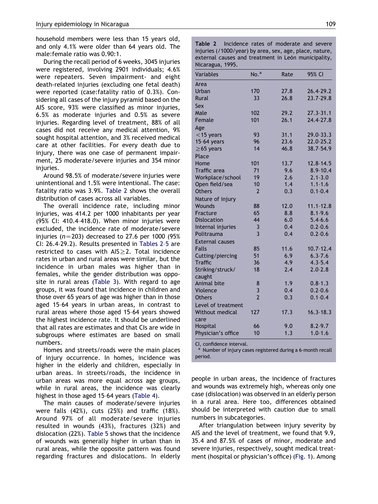household members were less than 15 years old, and only 4.1% were older than 64 years old. The male:female ratio was 0.90:1.

During the recall period of 6 weeks, 3045 injuries were registered, involving 2901 individuals; 4.6% were repeaters. Seven impairment- and eight death-related injuries (excluding one fetal death) were reported (case:fatality ratio of 0.3%). Considering all cases of the injury pyramid based on the AIS score, 93% were classified as minor injuries, 6.5% as moderate injuries and 0.5% as severe injuries. Regarding level of treatment, 88% of all cases did not receive any medical attention, 9% sought hospital attention, and 3% received medical care at other facilities. For every death due to injury, there was one case of permanent impairment, 25 moderate/severe injuries and 354 minor injuries.

Around 98.5% of moderate/severe injuries were unintentional and 1.5% were intentional. The case: fatality ratio was 3.9%. [Table 2](#page-3-0) shows the overall distribution of cases across all variables.

The overall incidence rate, including minor injuries, was 414.2 per 1000 inhabitants per year (95% CI: 410.4–418.0). When minor injuries were excluded, the incidence rate of moderate/severe injuries ( $n=203$ ) decreased to 27.6 per 1000 (95%) CI: 26.4–29.2). Results presented in [Tables 2–5](#page-3-0) are restricted to cases with  $AIS \geq 2$ . Total incidence rates in urban and rural areas were similar, but the incidence in urban males was higher than in females, while the gender distribution was opposite in rural areas ([Table 3](#page-4-0)). With regard to age groups, it was found that incidence in children and those over 65 years of age was higher than in those aged 15–64 years in urban areas, in contrast to rural areas where those aged 15–64 years showed the highest incidence rate. It should be underlined that all rates are estimates and that CIs are wide in subgroups where estimates are based on small numbers.

Homes and streets/roads were the main places of injury occurrence. In homes, incidence was higher in the elderly and children, especially in urban areas. In streets/roads, the incidence in urban areas was more equal across age groups, while in rural areas, the incidence was clearly highest in those aged 15–64 years ([Table 4\)](#page-4-0).

<span id="page-3-0"></span>The main causes of moderate/severe injuries were falls (42%), cuts (25%) and traffic (18%). Around 97% of all moderate/severe injuries resulted in wounds (43%), fractures (32%) and dislocation (22%). [Table 5](#page-5-0) shows that the incidence of wounds was generally higher in urban than in rural areas, while the opposite pattern was found regarding fractures and dislocations. In elderly Table 2 Incidence rates of moderate and severe injuries (/1000/year) by area, sex, age, place, nature, external causes and treatment in León municipality, Nicaragua, 1995.

| <b>Variables</b>       | No. <sup>a</sup> | Rate | 95% CI        |
|------------------------|------------------|------|---------------|
| Area                   |                  |      |               |
| Urban                  | 170              | 27.8 | 26.4-29.2     |
| <b>Rural</b>           | 33               | 26.8 | 23.7-29.8     |
| Sex                    |                  |      |               |
| Male                   | 102              | 29.2 | $27.3 - 31.1$ |
| Female                 | 101              | 26.1 | 24.4-27.8     |
| Age                    |                  |      |               |
| $<$ 15 years           | 93               | 31.1 | 29.0-33.3     |
| 15-64 years            | 96               | 23.6 | 22.0-25.2     |
| $\geq$ 65 years        | 14               | 46.8 | 38.7-54.9     |
| Place                  |                  |      |               |
| Home                   | 101              | 13.7 | $12.8 - 14.5$ |
| <b>Traffic</b> area    | 71               | 9.6  | $8.9 - 10.4$  |
| Workplace/school       | 19               | 2.6  | $2.1 - 3.0$   |
| Open field/sea         | 10               | 1.4  | $1.1 - 1.6$   |
| <b>Others</b>          | $\overline{2}$   | 0.3  | $0.1 - 0.4$   |
| Nature of injury       |                  |      |               |
| Wounds                 | 88               | 12.0 | $11.1 - 12.8$ |
| Fracture               | 65               | 8.8  | $8.1 - 9.6$   |
| <b>Dislocation</b>     | 44               | 6.0  | $5.4 - 6.6$   |
| Internal injuries      | 3                | 0.4  | $0.2 - 0.6$   |
| Politrauma             | $\overline{3}$   | 0.4  | $0.2 - 0.6$   |
| <b>External causes</b> |                  |      |               |
| <b>Falls</b>           | 85               | 11.6 | $10.7 - 12.4$ |
| Cutting/piercing       | 51               | 6.9  | $6.3 - 7.6$   |
| <b>Traffic</b>         | 36               | 4.9  | $4.3 - 5.4$   |
| Striking/struck/       | 18               | 2.4  | $2.0 - 2.8$   |
| caught                 |                  |      |               |
| Animal bite            | 8                | 1.9  | $0.8 - 1.3$   |
| Violence               | 3                | 0.4  | $0.2 - 0.6$   |
| <b>Others</b>          | $\overline{2}$   | 0.3  | $0.1 - 0.4$   |
| Level of treatment     |                  |      |               |
| <b>Without medical</b> | 127              | 17.3 | $16.3 - 18.3$ |
| care                   |                  |      |               |
| Hospital               | 66               | 9.0  | $8.2 - 9.7$   |
| Physician's office     | 10               | 1.3  | $1.0 - 1.6$   |

CI, confidence interval.

<sup>a</sup> Number of injury cases registered during a 6-month recall period.

people in urban areas, the incidence of fractures and wounds was extremely high, whereas only one case (dislocation) was observed in an elderly person in a rural area. Here too, differences obtained should be interpreted with caution due to small numbers in subcategories.

After triangulation between injury severity by AIS and the level of treatment, we found that 9.9, 35.4 and 87.5% of cases of minor, moderate and severe injuries, respectively, sought medical treatment (hospital or physician's office) [\(Fig. 1](#page-5-0)). Among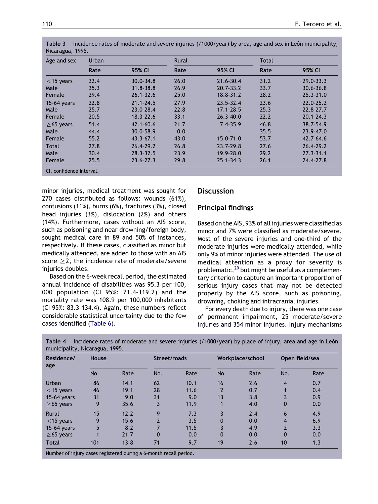| Age and sex     | Urban |               | <b>Rural</b> |               | <b>Total</b> |               |  |
|-----------------|-------|---------------|--------------|---------------|--------------|---------------|--|
|                 | Rate  | 95% CI        | Rate         | 95% CI        | Rate         | 95% CI        |  |
| $<$ 15 years    | 32.4  | $30.0 - 34.8$ | 26.0         | 21.6-30.4     | 31.2         | $29.0 - 33.3$ |  |
| Male            | 35.3  | $31.8 - 38.8$ | 26.9         | $20.7 - 33.2$ | 33.7         | $30.6 - 36.8$ |  |
| Female          | 29.4  | $26.1 - 32.6$ | 25.0         | $18.8 - 31.2$ | 28.2         | $25.3 - 31.0$ |  |
| $15-64$ years   | 22.8  | $21.1 - 24.5$ | 27.9         | $23.5 - 32.4$ | 23.6         | $22.0 - 25.2$ |  |
| Male            | 25.7  | 23.0-28.4     | 22.8         | $17.1 - 28.5$ | 25.3         | 22.8-27.7     |  |
| Female          | 20.5  | $18.3 - 22.6$ | 33.1         | $26.3 - 40.0$ | 22.2         | $20.1 - 24.3$ |  |
| $\geq$ 65 years | 51.4  | $42.1 - 60.6$ | 21.7         | $7.4 - 35.9$  | 46.8         | $38.7 - 54.9$ |  |
| Male            | 44.4  | $30.0 - 58.9$ | 0.0          |               | 35.5         | 23.9-47.0     |  |
| Female          | 55.2  | $43.3 - 67.1$ | 43.0         | 15.0-71.0     | 53.7         | $42.7 - 64.6$ |  |
| <b>Total</b>    | 27.8  | $26.4 - 29.2$ | 26.8         | $23.7 - 29.8$ | 27.6         | $26.4 - 29.2$ |  |
| Male            | 30.4  | $28.3 - 32.5$ | 23.9         | 19.9-28.0     | 29.2         | $27.3 - 31.1$ |  |
| Female          | 25.5  | $23.6 - 27.3$ | 29.8         | $25.1 - 34.3$ | 26.1         | 24.4-27.8     |  |

|                  | Table 3 Incidence rates of moderate and severe injuries (/1000/year) by area, age and sex in León municipality, |
|------------------|-----------------------------------------------------------------------------------------------------------------|
| Nicaragua, 1995. |                                                                                                                 |

minor injuries, medical treatment was sought for 270 cases distributed as follows: wounds (61%), contusions (11%), burns (6%), fractures (3%), closed head injuries (3%), dislocation (2%) and others (14%). Furthermore, cases without an AIS score, such as poisoning and near drowning/foreign body, sought medical care in 89 and 50% of instances, respectively. If these cases, classified as minor but medically attended, are added to those with an AIS score  $\geq$ 2, the incidence rate of moderate/severe injuries doubles.

Based on the 6-week recall period, the estimated annual incidence of disabilities was 95.3 per 100, 000 population (CI 95%: 71.4–119.2) and the mortality rate was 108.9 per 100,000 inhabitants (CI 95%: 83.3–134.4). Again, these numbers reflect considerable statistical uncertainty due to the few cases identified [\(Table 6](#page-6-0)).

# **Discussion**

# Principal findings

Based on the AIS, 93% of all injuries were classified as minor and 7% were classified as moderate/severe. Most of the severe injuries and one-third of the moderate injuries were medically attended, while only 9% of minor injuries were attended. The use of medical attention as a proxy for severity is problematic,<sup>[29](#page-8-0)</sup> but might be useful as a complementary criterion to capture an important proportion of serious injury cases that may not be detected properly by the AIS score, such as poisoning, drowning, choking and intracranial injuries.

For every death due to injury, there was one case of permanent impairment, 25 moderate/severe injuries and 354 minor injuries. Injury mechanisms

<span id="page-4-0"></span>

| Residence/<br>age | <b>House</b> |      | Street/roads |      |          | Workplace/school | Open field/sea |      |  |
|-------------------|--------------|------|--------------|------|----------|------------------|----------------|------|--|
|                   | No.          | Rate | No.          | Rate | No.      | Rate             | No.            | Rate |  |
| <b>Urban</b>      | 86           | 14.1 | 62           | 10.1 | 16       | 2.6              | 4              | 0.7  |  |
| $<$ 15 years      | 46           | 19.1 | 28           | 11.6 | 2        | 0.7              |                | 0.4  |  |
| $15-64$ years     | 31           | 9.0  | 31           | 9.0  | 13       | 3.8              |                | 0.9  |  |
| $\geq$ 65 years   | 9            | 35.6 | 3            | 11.9 |          | 4.0              | 0              | 0.0  |  |
| Rural             | 15           | 12.2 | 9            | 7.3  | 3        | 2.4              | 6              | 4.9  |  |
| $<$ 15 years      | 9            | 15.6 |              | 3.5  | 0        | 0.0              | 4              | 6.9  |  |
| $15-64$ years     | 5            | 8.2  |              | 11.5 | 3        | 4.9              | $\overline{2}$ | 3.3  |  |
| $\geq$ 65 years   |              | 21.7 | 0            | 0.0  | $\Omega$ | 0.0              | $\Omega$       | 0.0  |  |
| <b>Total</b>      | 101          | 13.8 | 71           | 9.7  | 19       | 2.6              | 10             | 1.3  |  |

Table 4 Incidence rates of moderate and severe injuries (/1000/year) by place of injury, area and age in León micipality, Nicaragua, 1995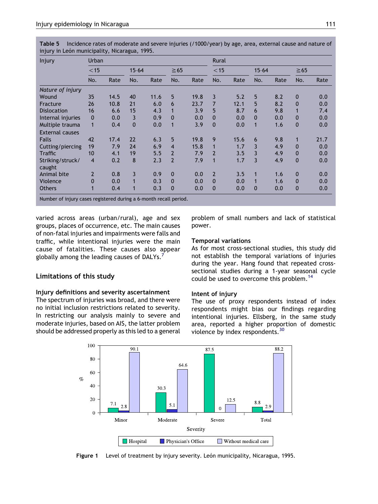Table 5 Incidence rates of moderate and severe injuries (/1000/year) by age, area, external cause and nature of injury in León municipality, Nicaragua, 1995.

| Injury                                                            | Urban                   |      |              |      |                |      | Rural          |      |           |      |              |      |
|-------------------------------------------------------------------|-------------------------|------|--------------|------|----------------|------|----------------|------|-----------|------|--------------|------|
|                                                                   | $<$ 15                  |      | $15 - 64$    |      | $\geq 65$      |      | $<$ 15         |      | $15 - 64$ |      | $\geq 65$    |      |
|                                                                   | No.                     | Rate | No.          | Rate | No.            | Rate | No.            | Rate | No.       | Rate | No.          | Rate |
| Nature of injury                                                  |                         |      |              |      |                |      |                |      |           |      |              |      |
| Wound                                                             | 35                      | 14.5 | 40           | 11.6 | 5              | 19.8 | 3              | 5.2  | 5         | 8.2  | $\mathbf 0$  | 0.0  |
| Fracture                                                          | 26                      | 10.8 | 21           | 6.0  | 6              | 23.7 | $\overline{7}$ | 12.1 | 5         | 8.2  | $\mathbf{0}$ | 0.0  |
| <b>Dislocation</b>                                                | 16                      | 6.6  | 15           | 4.3  | 1              | 3.9  | 5              | 8.7  | 6         | 9.8  |              | 7.4  |
| Internal injuries                                                 | $\mathbf{0}$            | 0.0  | 3            | 0.9  | $\mathbf{0}$   | 0.0  | $\mathbf{0}$   | 0.0  | $\Omega$  | 0.0  | $\Omega$     | 0.0  |
| Multiple trauma                                                   | 1                       | 0.4  | $\mathbf{0}$ | 0.0  | 1              | 3.9  | $\mathbf{0}$   | 0.0  |           | 1.6  | $\mathbf{0}$ | 0.0  |
| <b>External causes</b>                                            |                         |      |              |      |                |      |                |      |           |      |              |      |
| <b>Falls</b>                                                      | 42                      | 17.4 | 22           | 6.3  | 5              | 19.8 | 9              | 15.6 | 6         | 9.8  | 1            | 21.7 |
| Cutting/piercing                                                  | 19                      | 7.9  | 24           | 6.9  | $\overline{4}$ | 15.8 | $\mathbf{1}$   | 1.7  | 3         | 4.9  | $\mathbf{0}$ | 0.0  |
| <b>Traffic</b>                                                    | 10                      | 4.1  | 19           | 5.5  | $\overline{2}$ | 7.9  | $\overline{2}$ | 3.5  | 3         | 4.9  | $\mathbf{0}$ | 0.0  |
| Striking/struck/                                                  | $\overline{\mathbf{4}}$ | 0.2  | 8            | 2.3  | $\overline{2}$ | 7.9  | $\mathbf{1}$   | 1.7  | 3         | 4.9  | $\mathbf{0}$ | 0.0  |
| caught                                                            |                         |      |              |      |                |      |                |      |           |      |              |      |
| Animal bite                                                       | $\overline{2}$          | 0.8  | 3            | 0.9  | $\mathbf{0}$   | 0.0  | $\overline{2}$ | 3.5  | 1         | 1.6  | $\mathbf 0$  | 0.0  |
| Violence                                                          | $\Omega$                | 0.0  | 1            | 0.3  | $\mathbf{0}$   | 0.0  | $\mathbf{0}$   | 0.0  |           | 1.6  | $\mathbf{0}$ | 0.0  |
| <b>Others</b>                                                     | 1                       | 0.4  | 1            | 0.3  | $\mathbf 0$    | 0.0  | $\mathbf 0$    | 0.0  | 0         | 0.0  | $\mathbf 0$  | 0.0  |
| Number of injury cases registered during a 6-month recall period. |                         |      |              |      |                |      |                |      |           |      |              |      |

varied across areas (urban/rural), age and sex groups, places of occurrence, etc. The main causes of non-fatal injuries and impairments were falls and traffic, while intentional injuries were the main cause of fatalities. These causes also appear globally among the leading causes of DALYs.<sup>7</sup>

## Limitations of this study

### Injury definitions and severity ascertainment

The spectrum of injuries was broad, and there were no initial inclusion restrictions related to severity. In restricting our analysis mainly to severe and moderate injuries, based on AIS, the latter problem should be addressed properly as this led to a general problem of small numbers and lack of statistical power.

#### Temporal variations

As for most cross-sectional studies, this study did not establish the temporal variations of injuries during the year. Hang found that repeated crosssectional studies during a 1-year seasonal cycle could be used to overcome this problem.<sup>[14](#page-7-0)</sup>

#### Intent of injury

The use of proxy respondents instead of index respondents might bias our findings regarding intentional injuries. Ellsberg, in the same study area, reported a higher proportion of domestic violence by index respondents.[30](#page-8-0)



<span id="page-5-0"></span>Figure 1 Level of treatment by injury severity. León municipality, Nicaragua, 1995.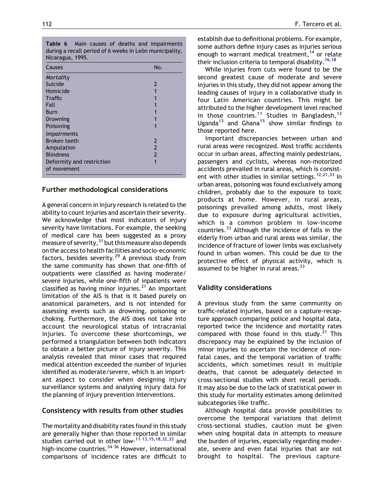| י טושו<br><i>Maill</i> Causes of acatis and impairments<br>during a recall period of 6 weeks in León municipality,<br>Nicaragua, 1995. |                |
|----------------------------------------------------------------------------------------------------------------------------------------|----------------|
| Causes                                                                                                                                 | No.            |
| Mortality                                                                                                                              |                |
| Suicide                                                                                                                                | 2              |
| Homicide                                                                                                                               |                |
| <b>Traffic</b>                                                                                                                         |                |
| Fall                                                                                                                                   |                |
| Burn                                                                                                                                   |                |
| Drowning                                                                                                                               |                |
| Poisoning                                                                                                                              |                |
| <i>Impairments</i>                                                                                                                     |                |
| <b>Broken teeth</b>                                                                                                                    | 2              |
| Amputation                                                                                                                             | $\overline{2}$ |
| <b>Blindness</b>                                                                                                                       | 2              |

1

Table 6 Main causes of deaths and impairments

## Further methodological considerations

Deformity and restriction

of movement

A general concern in injury research is related to the ability to count injuries and ascertain their severity. We acknowledge that most indicators of injury severity have limitations. For example, the seeking of medical care has been suggested as a proxy measure of severity,  $31$  but this measure also depends on the access to health facilities and socio-economic factors, besides severity.<sup>[29](#page-8-0)</sup> A previous study from the same community has shown that one-fifth of outpatients were classified as having moderate/ severe injuries, while one-fifth of inpatients were classified as having minor injuries.<sup>[21](#page-8-0)</sup> An important limitation of the AIS is that is it based purely on anatomical parameters, and is not intended for assessing events such as drowning, poisoning or choking. Furthermore, the AIS does not take into account the neurological status of intracranial injuries. To overcome these shortcomings, we performed a triangulation between both indicators to obtain a better picture of injury severity. This analysis revealed that minor cases that required medical attention exceeded the number of injuries identified as moderate/severe, which is an important aspect to consider when designing injury surveillance systems and analysing injury data for the planning of injury prevention interventions.

## Consistency with results from other studies

<span id="page-6-0"></span>The mortality and disability rates found in this study are generally higher than those reported in similar studies carried out in other low-[11–13,15,18,32,33](#page-7-0) and high-income countries.<sup>34-36</sup> However, international comparisons of incidence rates are difficult to

establish due to definitional problems. For example, some authors define injury cases as injuries serious enough to warrant medical treatment,  $14$  or relate their inclusion criteria to temporal disability.<sup>[16,18](#page-7-0)</sup>

While injuries from cuts were found to be the second greatest cause of moderate and severe injuries in this study, they did not appear among the leading causes of injury in a collaborative study in four Latin American countries. This might be attributed to the higher development level reached in those countries.<sup>[11](#page-7-0)</sup> Studies in Bangladesh.<sup>[12](#page-7-0)</sup> Uganda<sup>[13](#page-7-0)</sup> and Ghana<sup>[15](#page-7-0)</sup> show similar findings to those reported here.

Important discrepancies between urban and rural areas were recognized. Most traffic accidents occur in urban areas, affecting mainly pedestrians, passengers and cyclists, whereas non-motorized accidents prevailed in rural areas, which is consist-ent with other studies in similar settings.<sup>[12,21,33](#page-7-0)</sup> In urban areas, poisoning was found exclusively among children, probably due to the exposure to toxic products at home. However, in rural areas, poisonings prevailed among adults, most likely due to exposure during agricultural activities, which is a common problem in low-income countries.[33](#page-8-0) Although the incidence of falls in the elderly from urban and rural areas was similar, the incidence of fracture of lower limbs was exclusively found in urban women. This could be due to the protective effect of physical activity, which is assumed to be higher in rural areas.<sup>[33](#page-8-0)</sup>

## Validity considerations

A previous study from the same community on traffic-related injuries, based on a capture-recapture approach comparing police and hospital data, reported twice the incidence and mortality rates compared with those found in this study.<sup>[21](#page-8-0)</sup> This discrepancy may be explained by the inclusion of minor injuries to ascertain the incidence of nonfatal cases, and the temporal variation of traffic accidents, which sometimes result in multiple deaths, that cannot be adequately detected in cross-sectional studies with short recall periods. It may also be due to the lack of statistical power in this study for mortality estimates among delimited subcategories like traffic.

Although hospital data provide possibilities to overcome the temporal variations that delimit cross-sectional studies, caution must be given when using hospital data in attempts to measure the burden of injuries, especially regarding moderate, severe and even fatal injuries that are not brought to hospital. The previous capture–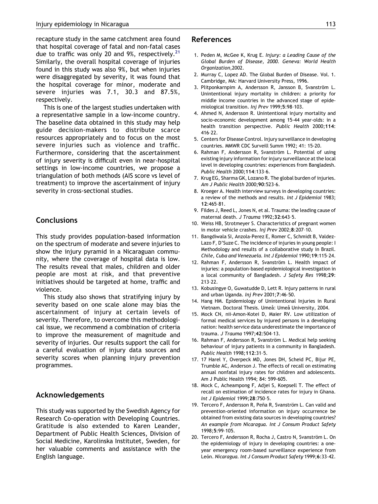recapture study in the same catchment area found that hospital coverage of fatal and non-fatal cases due to traffic was only 20 and 9%, respectively.<sup>[21](#page-8-0)</sup> Similarly, the overall hospital coverage of injuries found in this study was also 9%, but when injuries were disaggregated by severity, it was found that the hospital coverage for minor, moderate and severe injuries was 7.1, 30.3 and 87.5%, respectively.

This is one of the largest studies undertaken with a representative sample in a low-income country. The baseline data obtained in this study may help guide decision-makers to distribute scarce resources appropriately and to focus on the most severe injuries such as violence and traffic. Furthermore, considering that the ascertainment of injury severity is difficult even in near-hospital settings in low-income countries, we propose a triangulation of both methods (AIS score vs level of treatment) to improve the ascertainment of injury severity in cross-sectional studies.

# **Conclusions**

This study provides population-based information on the spectrum of moderate and severe injuries to show the injury pyramid in a Nicaraguan community, where the coverage of hospital data is low. The results reveal that males, children and older people are most at risk, and that preventive initiatives should be targeted at home, traffic and violence.

This study also shows that stratifying injury by severity based on one scale alone may bias the ascertainment of injury at certain levels of severity. Therefore, to overcome this methodological issue, we recommend a combination of criteria to improve the measurement of magnitude and severity of injuries. Our results support the call for a careful evaluation of injury data sources and severity scores when planning injury prevention programmes.

# Acknowledgements

<span id="page-7-0"></span>This study was supported by the Swedish Agency for Research Co-operation with Developing Countries. Gratitude is also extended to Karen Leander, Department of Public Health Sciences, Division of Social Medicine, Karolinska Institutet, Sweden, for her valuable comments and assistance with the English language.

## References

- 1. Peden M, McGee K, Krug E. Injury: a Leading Cause of the Global Burden of Disease, 2000. Geneva: World Health Organization,2002.
- 2. Murray C, Lopez AD. The Global Burden of Disease. Vol. 1. Cambridge, MA: Harvard University Press, 1996.
- 3. Plitponkarnpim A, Andersson R, Jansson B, Svanström L. Unintentional injury mortality in children: a priority for middle income countries in the advanced stage of epidemiological transition. Inj Prev 1999;5:98–103.
- 4. Ahmed N, Andersson R. Unintentional injury mortality and socio-economic development among 15-44 year-olds: in a health transition perspective. Public Health 2000;114: 416–22.
- 5. Centers for Disease Control. Injury surveillance in developing countries. MMWR CDC Surveill Summ 1992; 41: 15-20.
- 6. Rahman F, Andersson R, Svanström L. Potential of using existing injury information for injury surveillance at the local level in developing countries: experiences from Bangladesh. Public Health 2000;114:133–6.
- 7. Krug EG, Sharma GK, Lozano R. The global burden of injuries. Am J Public Health 2000;90:523–6.
- 8. Kroeger A. Health interview surveys in developing countries: a review of the methods and results. Int J Epidemiol 1983; 12:465–81.
- 9. Fildes J, Reed L, Jones N, et al. Trauma: the leading cause of maternal death. J Trauma 1992:32:643-5.
- 10. Weiss HB, Strotmeyer S. Characteristics of pregnant women in motor vehicle crashes. Inj Prev 2002;8:207–10.
- 11. Bangdiwala SI, Anzola-Perez E, Romer C, Schmidt B, Valdez-Lazo F, D'Suze C. The incidence of injuries in young people: I Methodology and results of a collaborative study in Brazil. Chile, Cuba and Venezuela. Int J Epidemiol 1990;19:115–24.
- 12. Rahman F, Andersson R, Svanström L. Health impact of injuries: a population-based epidemiological investigation in a local community of Bangladesh. J Safety Res 1998;29: 213–22.
- 13. Kobusingye O, Guwatudde D, Lett R. Injury patterns in rural and urban Uganda. Inj Prev 2001;7:46–50.
- 14. Hang HM. Epidemiology of Unintentional Injuries in Rural Vietnam. Doctoral Thesis. Umeå: Umeå University, 2004.
- 15. Mock CN, nii-Amon-Kotei D, Maier RV. Low utilization of formal medical services by injured persons in a developing nation: health service data underestimate the importance of trauma. J Trauma 1997;42:504–13.
- 16. Rahman F, Andersson R, Svanström L. Medical help seeking behaviour of injury patients in a community in Bangladesh. Public Health 1998;112:31–5.
- 17. 17 Harel Y, Overpeck MD, Jones DH, Scheid PC, Bijur PE, Trumble AC, Anderson J. The effects of recall on estimating annual nonfatal injury rates for children and adolescents. Am J Public Health 1994; 84: 599-605.
- 18. Mock C, Acheampong F, Adjei S, Koepsell T. The effect of recall on estimation of incidence rates for injury in Ghana. Int J Epidemiol 1999;28:750–5.
- 19. Tercero F, Andersson R, Peña R, Svanström L. Can valid and prevention-oriented information on injury occurrence be obtained from existing data sources in developing countries? An example from Nicaragua. Int J Consum Product Safety 1998;5:99–105.
- 20. Tercero F, Andersson R, Rocha J, Castro N, Svanström L. On the epidemiology of injury in developing countries: a oneyear emergency room-based surveillance experience from León. Nicaragua. Int J Consum Product Safety 1999;6:33-42.